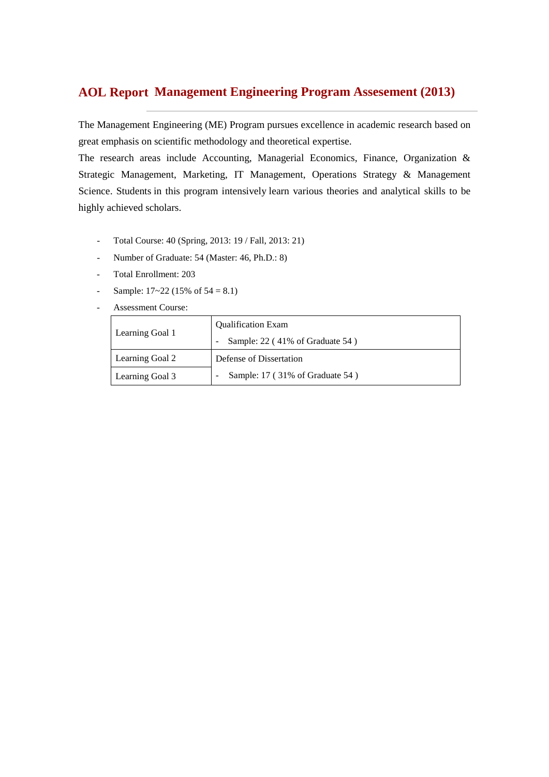# **Management Engineering Program Assesement (2013) AOL Report**

The Management Engineering (ME) Program pursues excellence in academic research based on great emphasis on scientific methodology and theoretical expertise.

The research areas include Accounting, Managerial Economics, Finance, Organization & Strategic Management, Marketing, IT Management, Operations Strategy & Management Science. Students in this program intensively learn various theories and analytical skills to be highly achieved scholars.

- Total Course: 40 (Spring, 2013: 19 / Fall, 2013: 21)
- Number of Graduate: 54 (Master: 46, Ph.D.: 8)
- Total Enrollment: 203
- Sample:  $17~22$  (15% of  $54 = 8.1$ )
- Assessment Course:

|                 | <b>Qualification Exam</b>       |  |  |  |  |  |
|-----------------|---------------------------------|--|--|--|--|--|
| Learning Goal 1 | Sample: 22 (41% of Graduate 54) |  |  |  |  |  |
| Learning Goal 2 | Defense of Dissertation         |  |  |  |  |  |
| Learning Goal 3 | Sample: 17 (31% of Graduate 54) |  |  |  |  |  |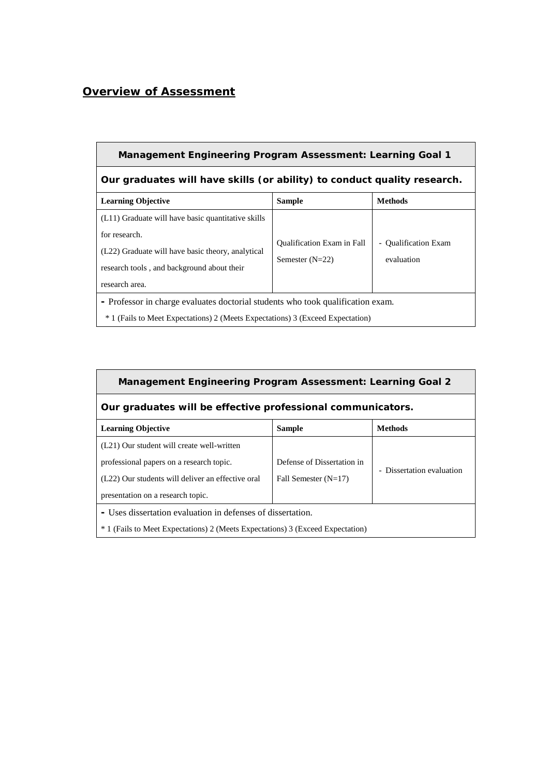## *Overview of Assessment*

## **Management Engineering Program Assessment: Learning Goal 1**

# **Our graduates will have skills (or ability) to conduct quality research.**

| <b>Learning Objective</b>                                                                 | <b>Sample</b>                     | <b>Methods</b>                     |  |  |  |  |  |  |  |
|-------------------------------------------------------------------------------------------|-----------------------------------|------------------------------------|--|--|--|--|--|--|--|
| (L11) Graduate will have basic quantitative skills                                        |                                   |                                    |  |  |  |  |  |  |  |
| for research.                                                                             |                                   |                                    |  |  |  |  |  |  |  |
| (L22) Graduate will have basic theory, analytical                                         | <b>Oualification Exam in Fall</b> | - Qualification Exam<br>evaluation |  |  |  |  |  |  |  |
| research tools, and background about their                                                | Semester $(N=22)$                 |                                    |  |  |  |  |  |  |  |
| research area.                                                                            |                                   |                                    |  |  |  |  |  |  |  |
| - Professor in charge evaluates doctorial students who took qualification exam.           |                                   |                                    |  |  |  |  |  |  |  |
| <sup>*</sup> 1 (Fails to Meet Expectations) 2 (Meets Expectations) 3 (Exceed Expectation) |                                   |                                    |  |  |  |  |  |  |  |

| <b>Management Engineering Program Assessment: Learning Goal 2</b>                         |                                                             |                           |  |  |  |  |  |  |  |  |  |
|-------------------------------------------------------------------------------------------|-------------------------------------------------------------|---------------------------|--|--|--|--|--|--|--|--|--|
| Our graduates will be effective professional communicators.                               |                                                             |                           |  |  |  |  |  |  |  |  |  |
| <b>Methods</b><br><b>Learning Objective</b><br><b>Sample</b>                              |                                                             |                           |  |  |  |  |  |  |  |  |  |
| (L21) Our student will create well-written                                                |                                                             |                           |  |  |  |  |  |  |  |  |  |
| professional papers on a research topic.                                                  | Defense of Dissertation in                                  | - Dissertation evaluation |  |  |  |  |  |  |  |  |  |
| (L22) Our students will deliver an effective oral                                         | Fall Semester $(N=17)$                                      |                           |  |  |  |  |  |  |  |  |  |
| presentation on a research topic.                                                         |                                                             |                           |  |  |  |  |  |  |  |  |  |
|                                                                                           | - Uses dissertation evaluation in defenses of dissertation. |                           |  |  |  |  |  |  |  |  |  |
| <sup>*</sup> 1 (Fails to Meet Expectations) 2 (Meets Expectations) 3 (Exceed Expectation) |                                                             |                           |  |  |  |  |  |  |  |  |  |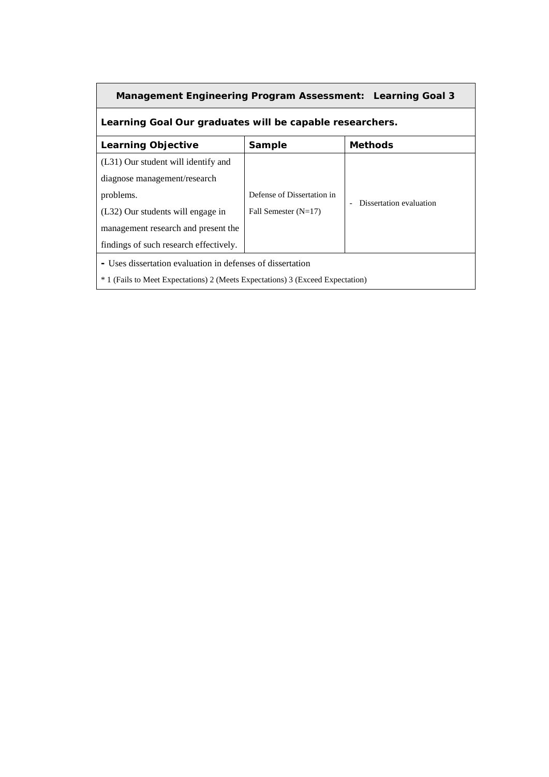| Management Engineering Program Assessment: Learning Goal 3                                |                            |                         |  |  |  |  |  |  |  |  |
|-------------------------------------------------------------------------------------------|----------------------------|-------------------------|--|--|--|--|--|--|--|--|
| Learning Goal Our graduates will be capable researchers.                                  |                            |                         |  |  |  |  |  |  |  |  |
| <b>Learning Objective</b><br><b>Methods</b><br><b>Sample</b>                              |                            |                         |  |  |  |  |  |  |  |  |
| (L31) Our student will identify and                                                       |                            |                         |  |  |  |  |  |  |  |  |
| diagnose management/research                                                              |                            |                         |  |  |  |  |  |  |  |  |
| problems.                                                                                 | Defense of Dissertation in | Dissertation evaluation |  |  |  |  |  |  |  |  |
| (L32) Our students will engage in                                                         | Fall Semester $(N=17)$     |                         |  |  |  |  |  |  |  |  |
| management research and present the                                                       |                            |                         |  |  |  |  |  |  |  |  |
| findings of such research effectively.                                                    |                            |                         |  |  |  |  |  |  |  |  |
| - Uses dissertation evaluation in defenses of dissertation                                |                            |                         |  |  |  |  |  |  |  |  |
| <sup>*</sup> 1 (Fails to Meet Expectations) 2 (Meets Expectations) 3 (Exceed Expectation) |                            |                         |  |  |  |  |  |  |  |  |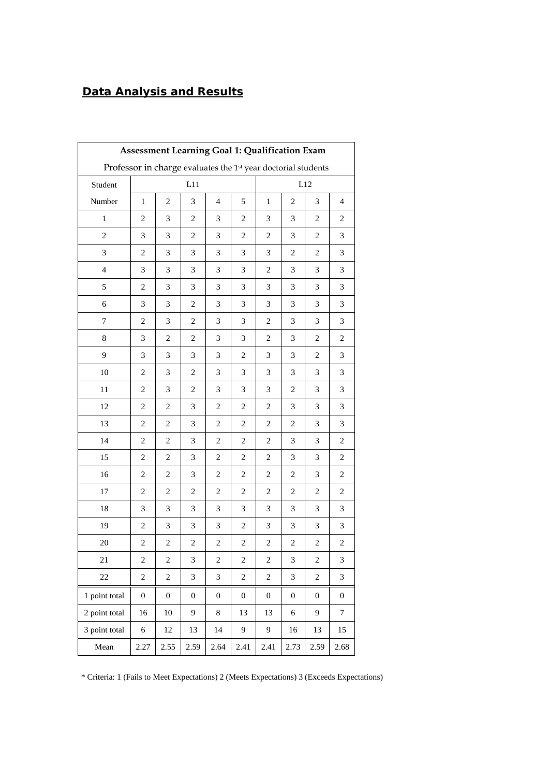# *Data Analysis and Results*

| Assessment Learning Goal 1: Qualification Exam                            |                                                     |                  |                  |                  |                  |                  |                         |                  |                  |  |  |
|---------------------------------------------------------------------------|-----------------------------------------------------|------------------|------------------|------------------|------------------|------------------|-------------------------|------------------|------------------|--|--|
| Professor in charge evaluates the 1 <sup>st</sup> year doctorial students |                                                     |                  |                  |                  |                  |                  |                         |                  |                  |  |  |
| Student                                                                   | L11<br>L12                                          |                  |                  |                  |                  |                  |                         |                  |                  |  |  |
| Number                                                                    | $\,1$<br>$\mathfrak{2}$<br>3<br>$\overline{4}$<br>5 |                  |                  |                  |                  |                  | $\overline{c}$          | 3                | $\overline{4}$   |  |  |
| $\mathbf{1}$                                                              | 2                                                   | 3                | 2                | 3                | $\overline{c}$   | 3                | 3                       | 2                | $\overline{c}$   |  |  |
| $\sqrt{2}$                                                                | 3                                                   | 3                | 2                | 3                | $\overline{c}$   | $\overline{c}$   | 3                       | $\overline{c}$   | 3                |  |  |
| 3                                                                         | 2                                                   | 3                | 3                | 3                | 3                | 3                | 2                       | 2                | 3                |  |  |
| $\overline{4}$                                                            | 3                                                   | 3                | 3                | 3                | 3                | $\overline{c}$   | 3                       | 3                | 3                |  |  |
| 5                                                                         | $\overline{c}$                                      | 3                | 3                | 3                | 3                | 3                | 3                       | 3                | 3                |  |  |
| 6                                                                         | 3                                                   | 3                | 2                | 3                | 3                | 3                | 3                       | 3                | 3                |  |  |
| 7                                                                         | $\overline{c}$                                      | 3                | 2                | 3                | 3                | $\overline{2}$   | 3                       | 3                | 3                |  |  |
| 8                                                                         | 3                                                   | $\mathfrak{2}$   | $\overline{c}$   | 3                | 3                | $\overline{c}$   | 3                       | $\overline{c}$   | $\overline{c}$   |  |  |
| 9                                                                         | 3                                                   | 3                | 3                | 3                | $\overline{c}$   | 3                | 3                       | $\overline{c}$   | 3                |  |  |
| 10                                                                        | $\mathbf{2}$                                        | $\mathfrak{Z}$   | 2                | 3                | 3                | 3                | 3                       | 3                | 3                |  |  |
| 11                                                                        | $\overline{c}$                                      | 3                | $\overline{c}$   | 3                | 3                | 3                | $\overline{c}$          | 3                | 3                |  |  |
| 12                                                                        | $\overline{c}$                                      | $\overline{c}$   | 3                | $\overline{c}$   | $\overline{c}$   | $\overline{c}$   | 3                       | 3                | 3                |  |  |
| 13                                                                        | $\overline{c}$                                      | 2                | 3                | 2                | $\overline{c}$   | $\overline{c}$   | 2                       | 3                | 3                |  |  |
| 14                                                                        | $\overline{c}$                                      | $\overline{c}$   | 3                | $\overline{2}$   | $\overline{c}$   | $\overline{c}$   | 3                       | 3                | $\overline{c}$   |  |  |
| 15                                                                        | $\overline{c}$                                      | $\overline{c}$   | 3                | 2                | 2                | $\overline{c}$   | 3                       | 3                | $\overline{c}$   |  |  |
| 16                                                                        | $\overline{c}$                                      | $\overline{c}$   | 3                | $\overline{c}$   | $\overline{c}$   | $\overline{c}$   | $\overline{c}$          | 3                | $\overline{c}$   |  |  |
| 17                                                                        | $\overline{c}$                                      | $\overline{c}$   | 2                | 2                | $\overline{c}$   | $\overline{c}$   | $\overline{c}$          | $\overline{c}$   | $\overline{c}$   |  |  |
| 18                                                                        | 3                                                   | 3                | 3                | 3                | 3                | 3                | 3                       | 3                | 3                |  |  |
| 19                                                                        | $\overline{c}$                                      | 3                | 3                | 3                | 2                | 3                | 3                       | 3                | 3                |  |  |
| 20                                                                        | $\overline{c}$                                      | $\overline{2}$   | $\overline{c}$   | $\overline{c}$   | $\sqrt{2}$       | $\sqrt{2}$       | $\overline{\mathbf{c}}$ | $\overline{c}$   | $\sqrt{2}$       |  |  |
| 21                                                                        | 2                                                   | $\boldsymbol{2}$ | 3                | 2                | $\sqrt{2}$       | $\boldsymbol{2}$ | 3                       | $\sqrt{2}$       | 3                |  |  |
| 22                                                                        | $\sqrt{2}$                                          | $\boldsymbol{2}$ | 3                | 3                | $\sqrt{2}$       | $\overline{c}$   | 3                       | $\boldsymbol{2}$ | 3                |  |  |
| 1 point total                                                             | $\boldsymbol{0}$                                    | $\boldsymbol{0}$ | $\boldsymbol{0}$ | $\boldsymbol{0}$ | $\boldsymbol{0}$ | $\boldsymbol{0}$ | $\boldsymbol{0}$        | $\boldsymbol{0}$ | $\boldsymbol{0}$ |  |  |
| 2 point total                                                             | 16                                                  | 10               | 9                | 8                | 13               | 13               | 6                       | 9                | $\overline{7}$   |  |  |
| 3 point total                                                             | 6                                                   | 12               | 13               | 14               | 9                | 9                | 16                      | 13               | 15               |  |  |
| Mean                                                                      | 2.27                                                | 2.55             | 2.59             | 2.64             | 2.41             | 2.41             | 2.73                    | 2.59             | 2.68             |  |  |

\* Criteria: 1 (Fails to Meet Expectations) 2 (Meets Expectations) 3 (Exceeds Expectations)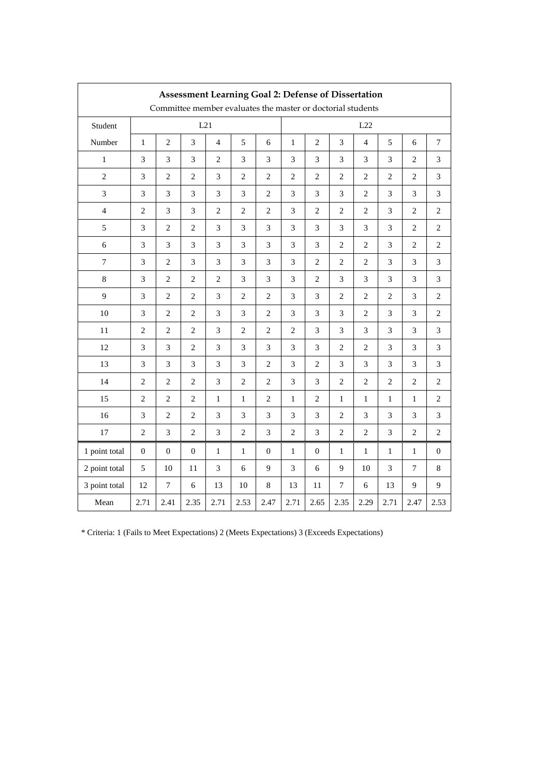| <b>Assessment Learning Goal 2: Defense of Dissertation</b><br>Committee member evaluates the master or doctorial students |                                                                 |                  |                |                             |                             |                             |                |                             |                |                             |                |                |                |
|---------------------------------------------------------------------------------------------------------------------------|-----------------------------------------------------------------|------------------|----------------|-----------------------------|-----------------------------|-----------------------------|----------------|-----------------------------|----------------|-----------------------------|----------------|----------------|----------------|
| Student                                                                                                                   | L21                                                             |                  |                |                             |                             |                             | L22            |                             |                |                             |                |                |                |
| Number                                                                                                                    | 5<br>$\overline{2}$<br>3<br>$\mathbf{1}$<br>$\overline{4}$<br>6 |                  |                |                             |                             |                             |                | $\overline{2}$              | 3              | $\overline{4}$              | 5              | 6              | $\tau$         |
| $\mathbf{1}$                                                                                                              | 3                                                               | 3                | 3              | $\mathbf{2}$                | 3                           | 3                           | 3              | 3                           | 3              | 3                           | 3              | $\overline{2}$ | 3              |
| $\overline{c}$                                                                                                            | 3                                                               | $\overline{2}$   | $\overline{2}$ | 3                           | $\overline{c}$              | $\mathbf{2}$                | $\overline{2}$ | $\overline{c}$              | $\overline{c}$ | $\overline{2}$              | $\overline{2}$ | $\overline{c}$ | 3              |
| $\mathfrak{Z}$                                                                                                            | 3                                                               | $\mathfrak{Z}$   | 3              | $\ensuremath{\mathfrak{Z}}$ | 3                           | $\mathbf{2}$                | 3              | 3                           | 3              | $\overline{2}$              | 3              | 3              | 3              |
| $\overline{4}$                                                                                                            | $\overline{c}$                                                  | $\mathfrak{Z}$   | 3              | $\mathbf{2}$                | $\overline{c}$              | $\mathbf{2}$                | 3              | $\mathbf{2}$                | $\overline{c}$ | $\overline{2}$              | 3              | $\mathbf{2}$   | $\overline{2}$ |
| 5                                                                                                                         | 3                                                               | $\sqrt{2}$       | $\overline{2}$ | $\ensuremath{\mathfrak{Z}}$ | 3                           | $\ensuremath{\mathfrak{Z}}$ | 3              | 3                           | 3              | 3                           | 3              | $\mathbf{2}$   | $\overline{2}$ |
| 6                                                                                                                         | 3                                                               | 3                | 3              | 3                           | 3                           | 3                           | 3              | 3                           | $\overline{2}$ | $\overline{2}$              | 3              | $\overline{c}$ | 2              |
| $\tau$                                                                                                                    | 3                                                               | $\overline{2}$   | 3              | 3                           | 3                           | 3                           | 3              | $\overline{c}$              | $\overline{c}$ | $\overline{2}$              | 3              | 3              | 3              |
| 8                                                                                                                         | 3                                                               | $\overline{2}$   | $\overline{2}$ | $\mathbf{2}$                | 3                           | 3                           | 3              | $\mathbf{2}$                | 3              | $\mathfrak{Z}$              | 3              | 3              | 3              |
| 9                                                                                                                         | 3                                                               | $\overline{2}$   | $\overline{2}$ | $\ensuremath{\mathfrak{Z}}$ | $\overline{c}$              | $\mathbf{2}$                | 3              | $\ensuremath{\mathfrak{Z}}$ | $\mathbf{2}$   | $\mathbf{2}$                | $\mathbf{2}$   | 3              | $\overline{2}$ |
| 10                                                                                                                        | 3                                                               | $\overline{2}$   | $\mathbf{2}$   | 3                           | 3                           | $\mathbf{2}$                | 3              | 3                           | 3              | $\mathbf{2}$                | 3              | 3              | 2              |
| 11                                                                                                                        | $\mathbf{2}$                                                    | $\sqrt{2}$       | $\mathbf{2}$   | $\ensuremath{\mathfrak{Z}}$ | $\mathbf{2}$                | $\sqrt{2}$                  | $\mathbf{2}$   | $\ensuremath{\mathfrak{Z}}$ | 3              | $\boldsymbol{\mathfrak{Z}}$ | 3              | 3              | 3              |
| 12                                                                                                                        | 3                                                               | 3                | $\mathbf{2}$   | 3                           | 3                           | 3                           | 3              | 3                           | $\overline{2}$ | 2                           | 3              | 3              | 3              |
| 13                                                                                                                        | 3                                                               | $\mathfrak{Z}$   | 3              | $\mathfrak{Z}$              | 3                           | $\mathbf{2}$                | 3              | $\overline{c}$              | 3              | $\mathfrak{Z}$              | 3              | 3              | 3              |
| 14                                                                                                                        | $\mathbf{2}$                                                    | $\sqrt{2}$       | $\mathbf{2}$   | $\sqrt{3}$                  | $\mathbf{2}$                | $\overline{c}$              | 3              | 3                           | $\mathbf{2}$   | $\mathbf{2}$                | $\mathbf{2}$   | $\mathbf{2}$   | $\sqrt{2}$     |
| 15                                                                                                                        | 2                                                               | $\overline{c}$   | 2              | $\mathbf{1}$                | $\mathbf{1}$                | $\overline{c}$              | $\mathbf{1}$   | $\overline{c}$              | $\mathbf{1}$   | $\mathbf{1}$                | $\mathbf{1}$   | $\mathbf{1}$   | $\overline{c}$ |
| 16                                                                                                                        | $\mathfrak{Z}$                                                  | $\overline{c}$   | 2              | 3                           | $\ensuremath{\mathfrak{Z}}$ | 3                           | 3              | 3                           | 2              | 3                           | 3              | 3              | 3              |
| 17                                                                                                                        | $\overline{2}$                                                  | 3                | $\overline{c}$ | 3                           | $\overline{2}$              | 3                           | $\overline{2}$ | 3                           | $\overline{2}$ | $\overline{2}$              | 3              | $\overline{2}$ | $\overline{2}$ |
| 1 point total                                                                                                             | $\theta$                                                        | $\boldsymbol{0}$ | $\mathbf{0}$   | $\mathbf{1}$                | 1                           | $\mathbf{0}$                | $\mathbf{1}$   | $\mathbf{0}$                | $\mathbf{1}$   | $\mathbf{1}$                | $\mathbf{1}$   | $\mathbf{1}$   | $\theta$       |
| 2 point total                                                                                                             | 5                                                               | 10               | 11             | 3                           | 6                           | 9                           | 3              | 6                           | 9              | 10                          | 3              | 7              | 8              |
| 3 point total                                                                                                             | 12                                                              | $\overline{7}$   | $\sqrt{6}$     | 13                          | 10                          | $\,8\,$                     | 13             | $11\,$                      | 7              | 6                           | 13             | 9              | 9              |
| Mean                                                                                                                      | 2.71                                                            | 2.41             | 2.35           | 2.71                        | 2.53                        | 2.47                        | 2.71           | 2.65                        | 2.35           | 2.29                        | 2.71           | 2.47           | 2.53           |

 $\overline{1}$ 

\* Criteria: 1 (Fails to Meet Expectations) 2 (Meets Expectations) 3 (Exceeds Expectations)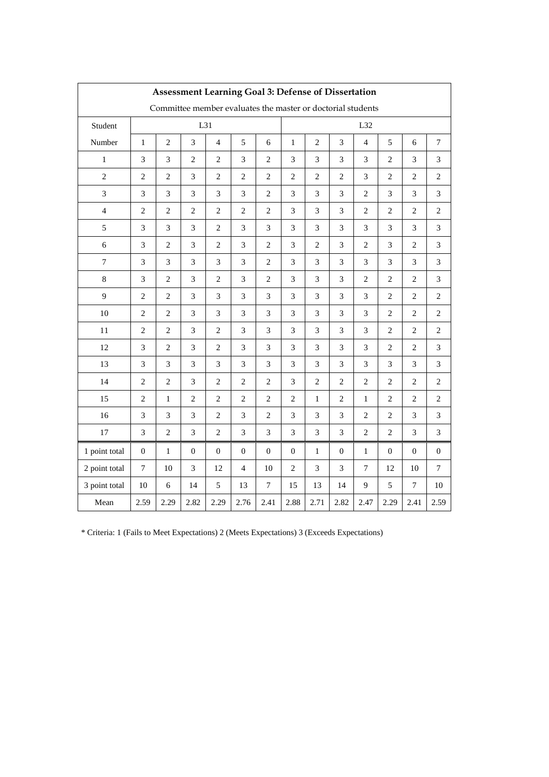| <b>Assessment Learning Goal 3: Defense of Dissertation</b>  |                                                                              |                             |                             |                             |                             |                             |                |                             |                |                |                |                             |                             |
|-------------------------------------------------------------|------------------------------------------------------------------------------|-----------------------------|-----------------------------|-----------------------------|-----------------------------|-----------------------------|----------------|-----------------------------|----------------|----------------|----------------|-----------------------------|-----------------------------|
| Committee member evaluates the master or doctorial students |                                                                              |                             |                             |                             |                             |                             |                |                             |                |                |                |                             |                             |
| Student                                                     | L31                                                                          |                             |                             |                             |                             |                             | L32            |                             |                |                |                |                             |                             |
| Number                                                      | 5<br>$\overline{2}$<br>$\mathfrak{Z}$<br>$\mathbf{1}$<br>$\overline{4}$<br>6 |                             |                             |                             |                             |                             |                | $\overline{c}$              | 3              | $\overline{4}$ | 5              | 6                           | $\tau$                      |
| $\mathbf{1}$                                                | 3                                                                            | 3                           | $\overline{c}$              | $\mathbf{2}$                | 3                           | $\overline{2}$              | 3              | 3                           | 3              | 3              | $\overline{2}$ | 3                           | 3                           |
| $\overline{c}$                                              | $\overline{c}$                                                               | $\overline{c}$              | 3                           | $\overline{c}$              | $\overline{c}$              | $\overline{2}$              | $\overline{c}$ | $\overline{2}$              | $\overline{c}$ | 3              | $\overline{2}$ | $\overline{c}$              | $\mathbf{2}$                |
| $\mathfrak{Z}$                                              | 3                                                                            | $\mathfrak{Z}$              | 3                           | $\mathfrak{Z}$              | 3                           | $\overline{2}$              | 3              | 3                           | 3              | $\overline{c}$ | 3              | 3                           | 3                           |
| $\overline{4}$                                              | $\overline{c}$                                                               | $\sqrt{2}$                  | $\overline{c}$              | $\sqrt{2}$                  | $\overline{c}$              | $\overline{2}$              | 3              | 3                           | 3              | $\overline{2}$ | $\mathbf{2}$   | $\overline{c}$              | $\overline{2}$              |
| 5                                                           | 3                                                                            | $\ensuremath{\mathfrak{Z}}$ | 3                           | $\sqrt{2}$                  | 3                           | $\ensuremath{\mathfrak{Z}}$ | 3              | $\ensuremath{\mathfrak{Z}}$ | 3              | 3              | 3              | 3                           | $\mathfrak{Z}$              |
| 6                                                           | 3                                                                            | $\mathbf{2}$                | 3                           | $\mathbf{2}$                | 3                           | $\overline{2}$              | 3              | $\overline{c}$              | 3              | $\mathbf{2}$   | 3              | $\mathbf{2}$                | 3                           |
| $\boldsymbol{7}$                                            | 3                                                                            | 3                           | 3                           | 3                           | 3                           | $\overline{2}$              | 3              | 3                           | 3              | 3              | 3              | 3                           | 3                           |
| $8\,$                                                       | 3                                                                            | $\mathbf{2}$                | 3                           | $\mathbf{2}$                | 3                           | $\overline{2}$              | 3              | 3                           | 3              | $\mathbf{2}$   | $\mathbf{2}$   | $\mathbf{2}$                | 3                           |
| 9                                                           | $\overline{c}$                                                               | $\overline{c}$              | 3                           | $\ensuremath{\mathfrak{Z}}$ | 3                           | $\mathfrak{Z}$              | 3              | $\mathfrak{Z}$              | 3              | 3              | $\mathbf{2}$   | $\overline{c}$              | $\overline{2}$              |
| 10                                                          | $\mathbf{2}$                                                                 | $\mathbf{2}$                | 3                           | $\ensuremath{\mathfrak{Z}}$ | 3                           | $\mathfrak{Z}$              | 3              | 3                           | 3              | 3              | 2              | $\mathbf{2}$                | $\mathbf{2}$                |
| 11                                                          | $\mathbf{2}$                                                                 | $\sqrt{2}$                  | $\ensuremath{\mathfrak{Z}}$ | $\sqrt{2}$                  | $\ensuremath{\mathfrak{Z}}$ | $\mathfrak{Z}$              | 3              | 3                           | 3              | $\mathfrak{Z}$ | $\overline{c}$ | $\sqrt{2}$                  | $\overline{c}$              |
| 12                                                          | 3                                                                            | $\overline{c}$              | 3                           | $\overline{c}$              | 3                           | 3                           | 3              | 3                           | 3              | 3              | $\overline{c}$ | $\overline{c}$              | 3                           |
| 13                                                          | 3                                                                            | $\mathfrak{Z}$              | 3                           | $\mathfrak{Z}$              | 3                           | $\mathfrak{Z}$              | 3              | $\mathfrak{Z}$              | 3              | 3              | 3              | 3                           | $\ensuremath{\mathfrak{Z}}$ |
| 14                                                          | $\mathbf{2}$                                                                 | $\sqrt{2}$                  | $\ensuremath{\mathfrak{Z}}$ | $\sqrt{2}$                  | $\mathbf{2}$                | $\sqrt{2}$                  | 3              | $\sqrt{2}$                  | $\mathbf{2}$   | $\,2$          | $\sqrt{2}$     | $\sqrt{2}$                  | $\sqrt{2}$                  |
| 15                                                          | $\mathbf{2}$                                                                 | $\mathbf{1}$                | $\overline{2}$              | $\overline{c}$              | $\mathbf{2}$                | $\overline{2}$              | $\mathbf{2}$   | $\mathbf{1}$                | $\mathfrak{2}$ | $\mathbf{1}$   | $\overline{c}$ | $\mathbf{2}$                | 2                           |
| 16                                                          | $\ensuremath{\mathfrak{Z}}$                                                  | 3                           | $\ensuremath{\mathfrak{Z}}$ | $\overline{c}$              | $\ensuremath{\mathfrak{Z}}$ | $\overline{2}$              | 3              | 3                           | 3              | $\mathfrak{2}$ | $\overline{c}$ | $\ensuremath{\mathfrak{Z}}$ | 3                           |
| 17                                                          | 3                                                                            | $\mathbf{2}$                | 3                           | $\mathbf{2}$                | 3                           | $\mathfrak{Z}$              | 3              | 3                           | 3              | $\overline{2}$ | $\overline{2}$ | 3                           | 3                           |
| 1 point total                                               | $\boldsymbol{0}$                                                             | $\mathbf{1}$                | $\overline{0}$              | $\boldsymbol{0}$            | $\overline{0}$              | $\boldsymbol{0}$            | $\overline{0}$ | $\mathbf{1}$                | $\mathbf{0}$   | $\mathbf{1}$   | $\overline{0}$ | $\overline{0}$              | $\mathbf{0}$                |
| 2 point total                                               | $\tau$                                                                       | 10                          | 3                           | 12                          | $\overline{4}$              | 10                          | $\overline{2}$ | 3                           | 3              | 7              | 12             | 10                          | 7                           |
| 3 point total                                               | 10                                                                           | 6                           | 14                          | 5                           | 13                          | $\overline{7}$              | 15             | 13                          | 14             | 9              | 5              | $\tau$                      | 10                          |
| Mean                                                        | 2.59                                                                         | 2.29                        | 2.82                        | 2.29                        | 2.76                        | 2.41                        | 2.88           | 2.71                        | 2.82           | 2.47           | 2.29           | 2.41                        | 2.59                        |

\* Criteria: 1 (Fails to Meet Expectations) 2 (Meets Expectations) 3 (Exceeds Expectations)